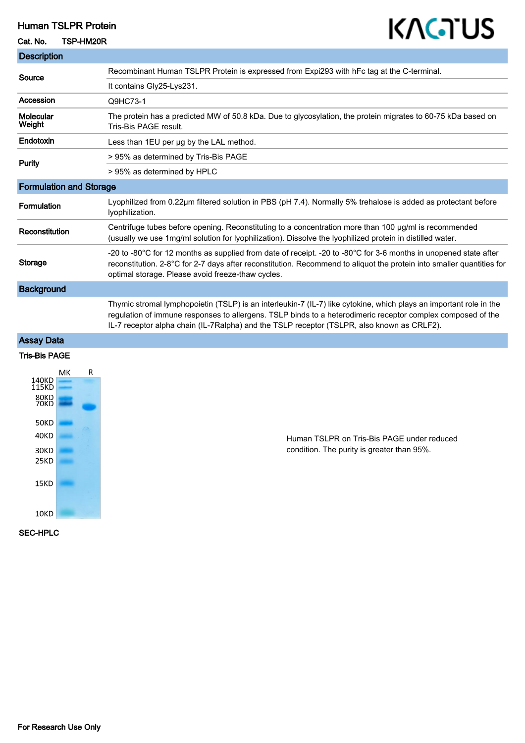# Human TSLPR Protein

#### Cat. No. TSP-HM20R

# KAGTUS

| <b>Description</b>             |                                                                                                                                                                                                                                                                                                                                 |
|--------------------------------|---------------------------------------------------------------------------------------------------------------------------------------------------------------------------------------------------------------------------------------------------------------------------------------------------------------------------------|
| Source                         | Recombinant Human TSLPR Protein is expressed from Expi293 with hFc tag at the C-terminal.                                                                                                                                                                                                                                       |
|                                | It contains Gly25-Lys231.                                                                                                                                                                                                                                                                                                       |
| Accession                      | Q9HC73-1                                                                                                                                                                                                                                                                                                                        |
| Molecular<br>Weight            | The protein has a predicted MW of 50.8 kDa. Due to glycosylation, the protein migrates to 60-75 kDa based on<br>Tris-Bis PAGE result.                                                                                                                                                                                           |
| Endotoxin                      | Less than 1EU per ug by the LAL method.                                                                                                                                                                                                                                                                                         |
| <b>Purity</b>                  | > 95% as determined by Tris-Bis PAGE                                                                                                                                                                                                                                                                                            |
|                                | > 95% as determined by HPLC                                                                                                                                                                                                                                                                                                     |
| <b>Formulation and Storage</b> |                                                                                                                                                                                                                                                                                                                                 |
| Formulation                    | Lyophilized from 0.22µm filtered solution in PBS (pH 7.4). Normally 5% trehalose is added as protectant before<br>lyophilization.                                                                                                                                                                                               |
| Reconstitution                 | Centrifuge tubes before opening. Reconstituting to a concentration more than 100 µg/ml is recommended<br>(usually we use 1mg/ml solution for lyophilization). Dissolve the lyophilized protein in distilled water.                                                                                                              |
| <b>Storage</b>                 | -20 to -80°C for 12 months as supplied from date of receipt. -20 to -80°C for 3-6 months in unopened state after<br>reconstitution. 2-8°C for 2-7 days after reconstitution. Recommend to aliquot the protein into smaller quantities for<br>optimal storage. Please avoid freeze-thaw cycles.                                  |
| <b>Background</b>              |                                                                                                                                                                                                                                                                                                                                 |
|                                | Thymic stromal lymphopoietin (TSLP) is an interleukin-7 (IL-7) like cytokine, which plays an important role in the<br>regulation of immune responses to allergens. TSLP binds to a heterodimeric receptor complex composed of the<br>IL-7 receptor alpha chain (IL-7Ralpha) and the TSLP receptor (TSLPR, also known as CRLF2). |
| <b>Assay Data</b>              |                                                                                                                                                                                                                                                                                                                                 |
| <b>Tris-Bis PAGE</b>           |                                                                                                                                                                                                                                                                                                                                 |
| R<br>MК                        |                                                                                                                                                                                                                                                                                                                                 |



Human TSLPR on Tris-Bis PAGE under reduced condition. The purity is greater than 95%.

SEC-HPLC